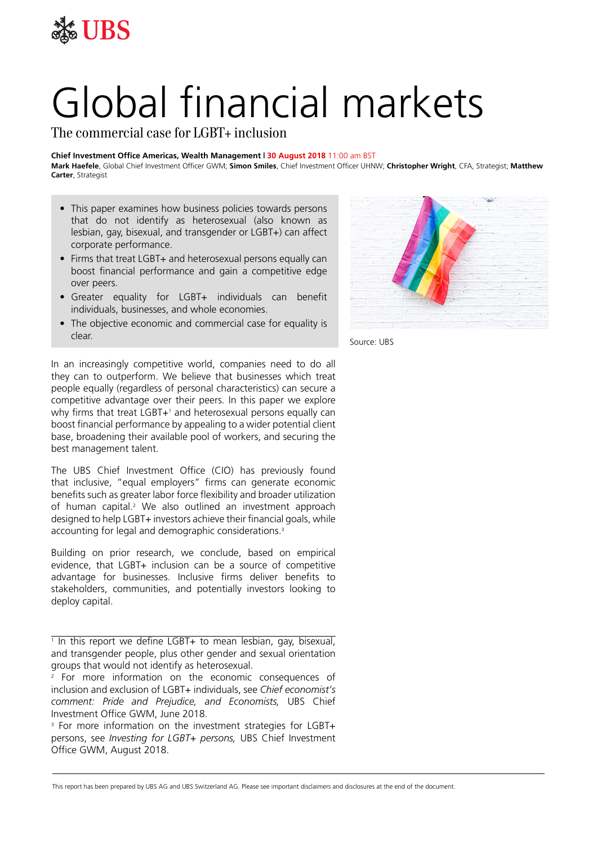

# Global financial markets

The commercial case for LGBT+ inclusion

#### **Chief Investment Office Americas, Wealth Management | 30 August 2018** 11:00 am BST

**Mark Haefele**, Global Chief Investment Officer GWM; **Simon Smiles**, Chief Investment Officer UHNW; **Christopher Wright**, CFA, Strategist; **Matthew Carter**, Strategist

- This paper examines how business policies towards persons that do not identify as heterosexual (also known as lesbian, gay, bisexual, and transgender or LGBT+) can affect corporate performance.
- Firms that treat LGBT+ and heterosexual persons equally can boost financial performance and gain a competitive edge over peers.
- Greater equality for LGBT+ individuals can benefit individuals, businesses, and whole economies.
- The objective economic and commercial case for equality is clear.

In an increasingly competitive world, companies need to do all they can to outperform. We believe that businesses which treat people equally (regardless of personal characteristics) can secure a competitive advantage over their peers. In this paper we explore why firms that treat LGBT+1 and heterosexual persons equally can boost financial performance by appealing to a wider potential client base, broadening their available pool of workers, and securing the best management talent.

The UBS Chief Investment Office (CIO) has previously found that inclusive, "equal employers" firms can generate economic benefits such as greater labor force flexibility and broader utilization of human capital.<sup>2</sup> We also outlined an investment approach designed to help LGBT+ investors achieve their financial goals, while accounting for legal and demographic considerations.<sup>3</sup>

Building on prior research, we conclude, based on empirical evidence, that LGBT+ inclusion can be a source of competitive advantage for businesses. Inclusive firms deliver benefits to stakeholders, communities, and potentially investors looking to deploy capital.

<sup>3</sup> For more information on the investment strategies for LGBT+ persons, see *Investing for LGBT+ persons,* UBS Chief Investment Office GWM, August 2018.



Source: UBS

This report has been prepared by UBS AG and UBS Switzerland AG. Please see important disclaimers and disclosures at the end of the document.

<sup>1</sup> In this report we define LGBT+ to mean lesbian, gay, bisexual, and transgender people, plus other gender and sexual orientation groups that would not identify as heterosexual.

<sup>2</sup> For more information on the economic consequences of inclusion and exclusion of LGBT+ individuals, see *Chief economist's comment: Pride and Prejudice, and Economists,* UBS Chief Investment Office GWM, June 2018.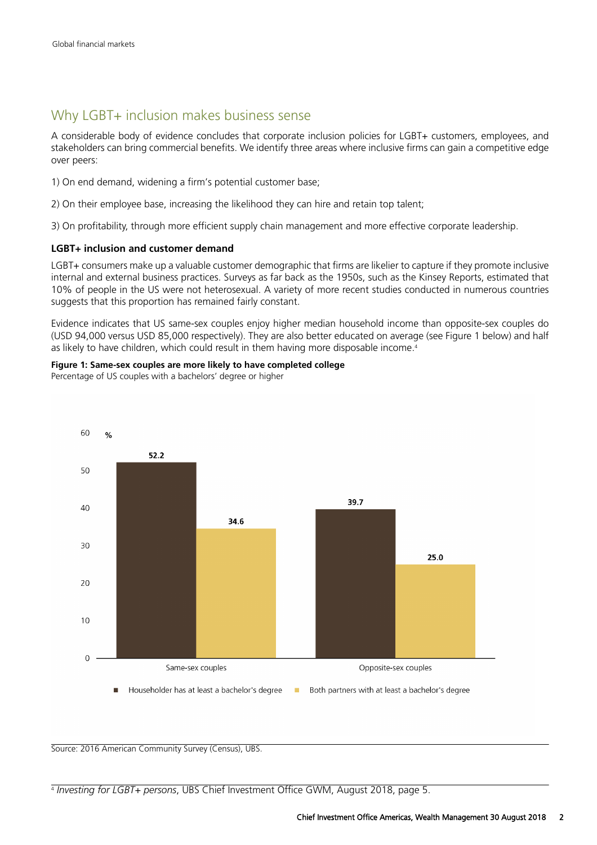## Why LGBT+ inclusion makes business sense

A considerable body of evidence concludes that corporate inclusion policies for LGBT+ customers, employees, and stakeholders can bring commercial benefits. We identify three areas where inclusive firms can gain a competitive edge over peers:

- 1) On end demand, widening a firm's potential customer base;
- 2) On their employee base, increasing the likelihood they can hire and retain top talent;
- 3) On profitability, through more efficient supply chain management and more effective corporate leadership.

#### **LGBT+ inclusion and customer demand**

LGBT+ consumers make up a valuable customer demographic that firms are likelier to capture if they promote inclusive internal and external business practices. Surveys as far back as the 1950s, such as the Kinsey Reports, estimated that 10% of people in the US were not heterosexual. A variety of more recent studies conducted in numerous countries suggests that this proportion has remained fairly constant.

Evidence indicates that US same-sex couples enjoy higher median household income than opposite-sex couples do (USD 94,000 versus USD 85,000 respectively). They are also better educated on average (see Figure 1 below) and half as likely to have children, which could result in them having more disposable income.<sup>4</sup>

**Figure 1: Same-sex couples are more likely to have completed college** Percentage of US couples with a bachelors' degree or higher



Source: 2016 American Community Survey (Census), UBS.

<sup>4</sup> *Investing for LGBT+ persons*, UBS Chief Investment Office GWM, August 2018, page 5.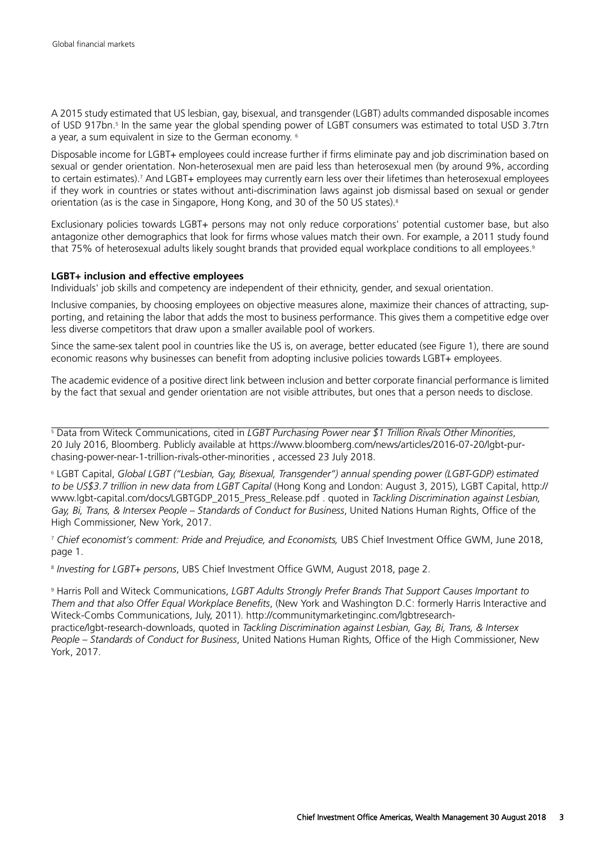A 2015 study estimated that US lesbian, gay, bisexual, and transgender (LGBT) adults commanded disposable incomes of USD 917bn.5 In the same year the global spending power of LGBT consumers was estimated to total USD 3.7trn a year, a sum equivalent in size to the German economy. <sup>6</sup>

Disposable income for LGBT+ employees could increase further if firms eliminate pay and job discrimination based on sexual or gender orientation. Non-heterosexual men are paid less than heterosexual men (by around 9%, according to certain estimates).<sup>7</sup> And LGBT+ employees may currently earn less over their lifetimes than heterosexual employees if they work in countries or states without anti-discrimination laws against job dismissal based on sexual or gender orientation (as is the case in Singapore, Hong Kong, and 30 of the 50 US states).<sup>8</sup>

Exclusionary policies towards LGBT+ persons may not only reduce corporations' potential customer base, but also antagonize other demographics that look for firms whose values match their own. For example, a 2011 study found that 75% of heterosexual adults likely sought brands that provided equal workplace conditions to all employees.<sup>9</sup>

#### **LGBT+ inclusion and effective employees**

Individuals' job skills and competency are independent of their ethnicity, gender, and sexual orientation.

Inclusive companies, by choosing employees on objective measures alone, maximize their chances of attracting, supporting, and retaining the labor that adds the most to business performance. This gives them a competitive edge over less diverse competitors that draw upon a smaller available pool of workers.

Since the same-sex talent pool in countries like the US is, on average, better educated (see Figure 1), there are sound economic reasons why businesses can benefit from adopting inclusive policies towards LGBT+ employees.

The academic evidence of a positive direct link between inclusion and better corporate financial performance is limited by the fact that sexual and gender orientation are not visible attributes, but ones that a person needs to disclose.

<sup>5</sup> Data from Witeck Communications, cited in *LGBT Purchasing Power near \$1 Trillion Rivals Other Minorities*, 20 July 2016, Bloomberg. Publicly available at https://www.bloomberg.com/news/articles/2016-07-20/lgbt-purchasing-power-near-1-trillion-rivals-other-minorities , accessed 23 July 2018.

<sup>6</sup> LGBT Capital, *Global LGBT ("Lesbian, Gay, Bisexual, Transgender") annual spending power (LGBT-GDP) estimated to be US\$3.7 trillion in new data from LGBT Capital* (Hong Kong and London: August 3, 2015), LGBT Capital, http:// www.lgbt-capital.com/docs/LGBTGDP\_2015\_Press\_Release.pdf . quoted in *Tackling Discrimination against Lesbian, Gay, Bi, Trans, & Intersex People – Standards of Conduct for Business*, United Nations Human Rights, Office of the High Commissioner, New York, 2017.

<sup>7</sup> *Chief economist's comment: Pride and Prejudice, and Economists,* UBS Chief Investment Office GWM, June 2018, page 1.

8 *Investing for LGBT+ persons*, UBS Chief Investment Office GWM, August 2018, page 2.

<sup>9</sup> Harris Poll and Witeck Communications, *LGBT Adults Strongly Prefer Brands That Support Causes Important to Them and that also Offer Equal Workplace Benefits*, (New York and Washington D.C: formerly Harris Interactive and Witeck-Combs Communications, July, 2011). http://communitymarketinginc.com/lgbtresearchpractice/lgbt-research-downloads, quoted in *Tackling Discrimination against Lesbian, Gay, Bi, Trans, & Intersex People – Standards of Conduct for Business*, United Nations Human Rights, Office of the High Commissioner, New York, 2017.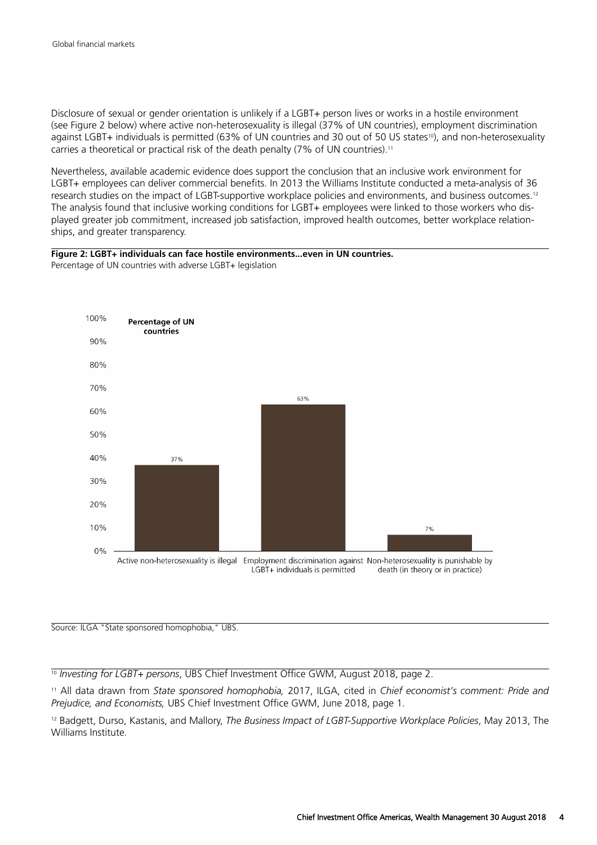Disclosure of sexual or gender orientation is unlikely if a LGBT+ person lives or works in a hostile environment (see Figure 2 below) where active non-heterosexuality is illegal (37% of UN countries), employment discrimination against LGBT+ individuals is permitted (63% of UN countries and 30 out of 50 US states<sup>10</sup>), and non-heterosexuality carries a theoretical or practical risk of the death penalty (7% of UN countries).<sup>11</sup>

Nevertheless, available academic evidence does support the conclusion that an inclusive work environment for LGBT+ employees can deliver commercial benefits. In 2013 the Williams Institute conducted a meta-analysis of 36 research studies on the impact of LGBT-supportive workplace policies and environments, and business outcomes.<sup>12</sup> The analysis found that inclusive working conditions for LGBT+ employees were linked to those workers who displayed greater job commitment, increased job satisfaction, improved health outcomes, better workplace relationships, and greater transparency.

#### **Figure 2: LGBT+ individuals can face hostile environments...even in UN countries.** Percentage of UN countries with adverse LGBT+ legislation



Source: ILGA "State sponsored homophobia," UBS.

<sup>10</sup> *Investing for LGBT+ persons*, UBS Chief Investment Office GWM, August 2018, page 2.

<sup>11</sup> All data drawn from *State sponsored homophobia,* 2017, ILGA, cited in *Chief economist's comment: Pride and Prejudice, and Economists,* UBS Chief Investment Office GWM, June 2018, page 1.

<sup>12</sup> Badgett, Durso, Kastanis, and Mallory, *The Business Impact of LGBT-Supportive Workplace Policies*, May 2013, The Williams Institute.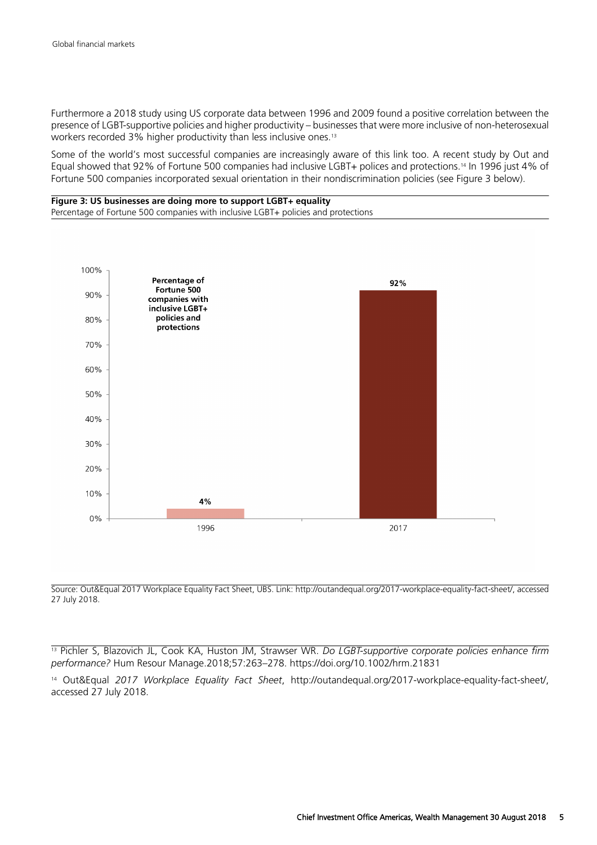Furthermore a 2018 study using US corporate data between 1996 and 2009 found a positive correlation between the presence of LGBT-supportive policies and higher productivity – businesses that were more inclusive of non-heterosexual workers recorded 3% higher productivity than less inclusive ones.<sup>13</sup>

Some of the world's most successful companies are increasingly aware of this link too. A recent study by Out and Equal showed that 92% of Fortune 500 companies had inclusive LGBT+ polices and protections.14 In 1996 just 4% of Fortune 500 companies incorporated sexual orientation in their nondiscrimination policies (see Figure 3 below).

#### **Figure 3: US businesses are doing more to support LGBT+ equality** Percentage of Fortune 500 companies with inclusive LGBT+ policies and protections



Source: Out&Equal 2017 Workplace Equality Fact Sheet, UBS. Link: http://outandequal.org/2017-workplace-equality-fact-sheet/, accessed 27 July 2018.

<sup>13</sup> Pichler S, Blazovich JL, Cook KA, Huston JM, Strawser WR. *Do LGBT-supportive corporate policies enhance firm performance?* Hum Resour Manage.2018;57:263–278. https://doi.org/10.1002/hrm.21831

<sup>14</sup> Out&Equal *2017 Workplace Equality Fact Sheet*, http://outandequal.org/2017-workplace-equality-fact-sheet/, accessed 27 July 2018.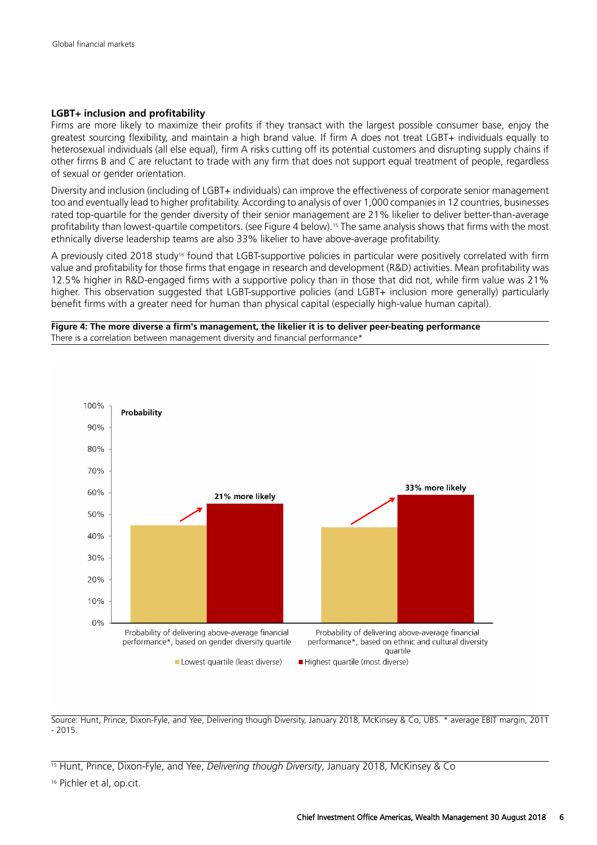#### **LGBT+ inclusion and profitability**

Firms are more likely to maximize their profits if they transact with the largest possible consumer base, enjoy the greatest sourcing flexibility, and maintain a high brand value. If firm A does not treat LGBT+ individuals equally to heterosexual individuals (all else equal), firm A risks cutting off its potential customers and disrupting supply chains if other firms B and C are reluctant to trade with any firm that does not support equal treatment of people, regardless of sexual or gender orientation.

Diversity and inclusion (including of LGBT+ individuals) can improve the effectiveness of corporate senior management too and eventually lead to higher profitability. According to analysis of over 1,000 companies in 12 countries, businesses rated top-quartile for the gender diversity of their senior management are 21% likelier to deliver better-than-average profitability than lowest-quartile competitors. (see Figure 4 below).15 The same analysis shows that firms with the most ethnically diverse leadership teams are also 33% likelier to have above-average profitability.

A previously cited 2018 study<sup>16</sup> found that LGBT-supportive policies in particular were positively correlated with firm value and profitability for those firms that engage in research and development (R&D) activities. Mean profitability was 12.5% higher in R&D-engaged firms with a supportive policy than in those that did not, while firm value was 21% higher. This observation suggested that LGBT-supportive policies (and LGBT+ inclusion more generally) particularly benefit firms with a greater need for human than physical capital (especially high-value human capital).

**Figure 4: The more diverse a firm's management, the likelier it is to deliver peer-beating performance** There is a correlation between management diversity and financial performance\*



Source: Hunt, Prince, Dixon-Fyle, and Yee, Delivering though Diversity, January 2018, McKinsey & Co, UBS. \* average EBIT margin, 2011 - 2015.

<sup>15</sup> Hunt, Prince, Dixon-Fyle, and Yee, *Delivering though Diversity*, January 2018, McKinsey & Co

<sup>&</sup>lt;sup>16</sup> Pichler et al, op.cit.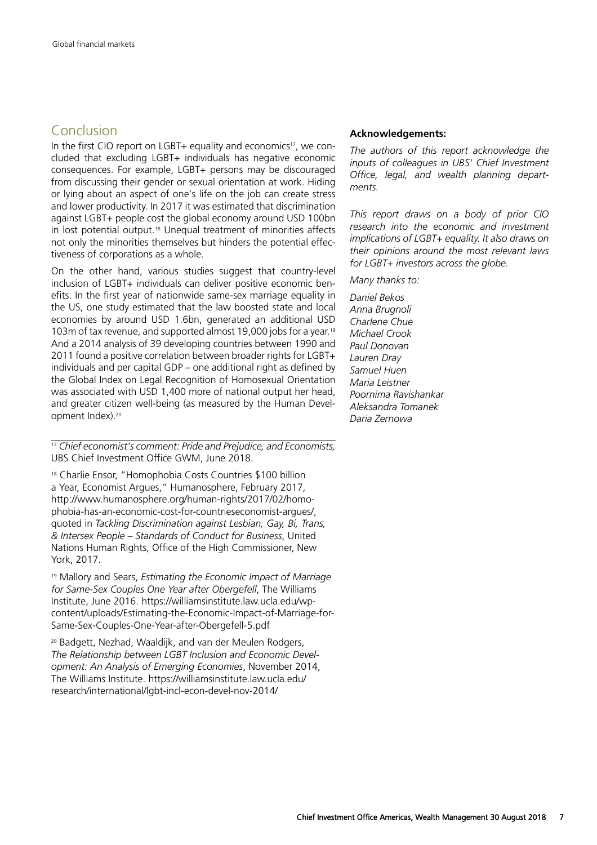### Conclusion

In the first CIO report on LGBT+ equality and economics<sup>17</sup>, we concluded that excluding LGBT+ individuals has negative economic consequences. For example, LGBT+ persons may be discouraged from discussing their gender or sexual orientation at work. Hiding or lying about an aspect of one's life on the job can create stress and lower productivity. In 2017 it was estimated that discrimination against LGBT+ people cost the global economy around USD 100bn in lost potential output.18 Unequal treatment of minorities affects not only the minorities themselves but hinders the potential effectiveness of corporations as a whole.

On the other hand, various studies suggest that country-level inclusion of LGBT+ individuals can deliver positive economic benefits. In the first year of nationwide same-sex marriage equality in the US, one study estimated that the law boosted state and local economies by around USD 1.6bn, generated an additional USD 103m of tax revenue, and supported almost 19,000 jobs for a year.<sup>19</sup> And a 2014 analysis of 39 developing countries between 1990 and 2011 found a positive correlation between broader rights for LGBT+ individuals and per capital GDP – one additional right as defined by the Global Index on Legal Recognition of Homosexual Orientation was associated with USD 1,400 more of national output her head. and greater citizen well-being (as measured by the Human Development Index).<sup>20</sup>

<sup>17</sup> *Chief economist's comment: Pride and Prejudice, and Economists,* UBS Chief Investment Office GWM, June 2018.

<sup>18</sup> Charlie Ensor, "Homophobia Costs Countries \$100 billion a Year, Economist Argues," Humanosphere, February 2017, http://www.humanosphere.org/human-rights/2017/02/homophobia-has-an-economic-cost-for-countrieseconomist-argues/, quoted in *Tackling Discrimination against Lesbian, Gay, Bi, Trans, & Intersex People – Standards of Conduct for Business*, United Nations Human Rights, Office of the High Commissioner, New York, 2017.

<sup>19</sup> Mallory and Sears, *Estimating the Economic Impact of Marriage for Same-Sex Couples One Year after Obergefell*, The Williams Institute, June 2016. https://williamsinstitute.law.ucla.edu/wpcontent/uploads/Estimating-the-Economic-Impact-of-Marriage-for-Same-Sex-Couples-One-Year-after-Obergefell-5.pdf

<sup>20</sup> Badgett, Nezhad, Waaldijk, and van der Meulen Rodgers, *The Relationship between LGBT Inclusion and Economic Development: An Analysis of Emerging Economies*, November 2014, The Williams Institute. https://williamsinstitute.law.ucla.edu/ research/international/lgbt-incl-econ-devel-nov-2014/

#### **Acknowledgements:**

*The authors of this report acknowledge the inputs of colleagues in UBS' Chief Investment Office, legal, and wealth planning departments.*

*This report draws on a body of prior CIO research into the economic and investment implications of LGBT+ equality. It also draws on their opinions around the most relevant laws for LGBT+ investors across the globe.*

*Many thanks to:*

*Daniel Bekos Anna Brugnoli Charlene Chue Michael Crook Paul Donovan Lauren Dray Samuel Huen Maria Leistner Poornima Ravishankar Aleksandra Tomanek Daria Zernowa*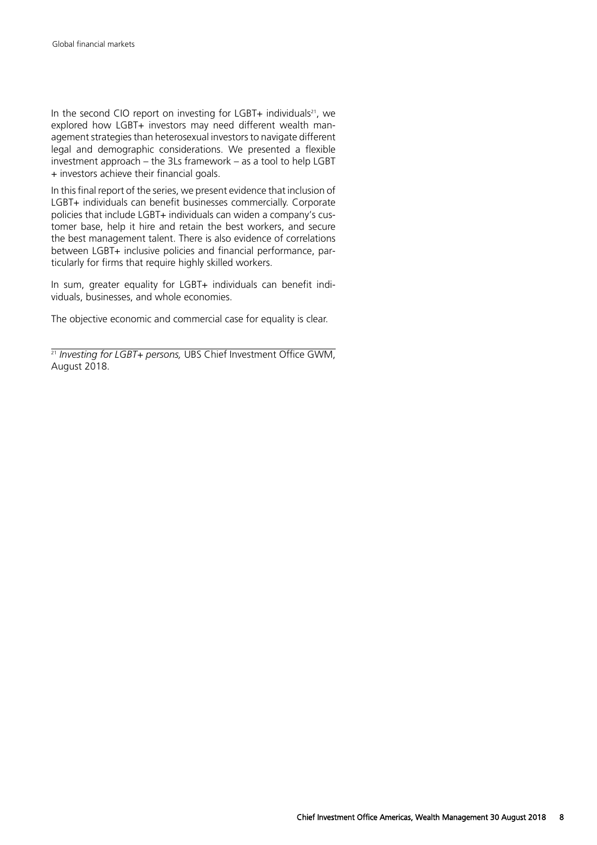In the second CIO report on investing for LGBT+ individuals<sup>21</sup>, we explored how LGBT+ investors may need different wealth management strategies than heterosexual investors to navigate different legal and demographic considerations. We presented a flexible investment approach – the 3Ls framework – as a tool to help LGBT + investors achieve their financial goals.

In this final report of the series, we present evidence that inclusion of LGBT+ individuals can benefit businesses commercially. Corporate policies that include LGBT+ individuals can widen a company's customer base, help it hire and retain the best workers, and secure the best management talent. There is also evidence of correlations between LGBT+ inclusive policies and financial performance, particularly for firms that require highly skilled workers.

In sum, greater equality for LGBT+ individuals can benefit individuals, businesses, and whole economies.

The objective economic and commercial case for equality is clear.

<sup>21</sup> Investing for LGBT+ persons, UBS Chief Investment Office GWM, August 2018.